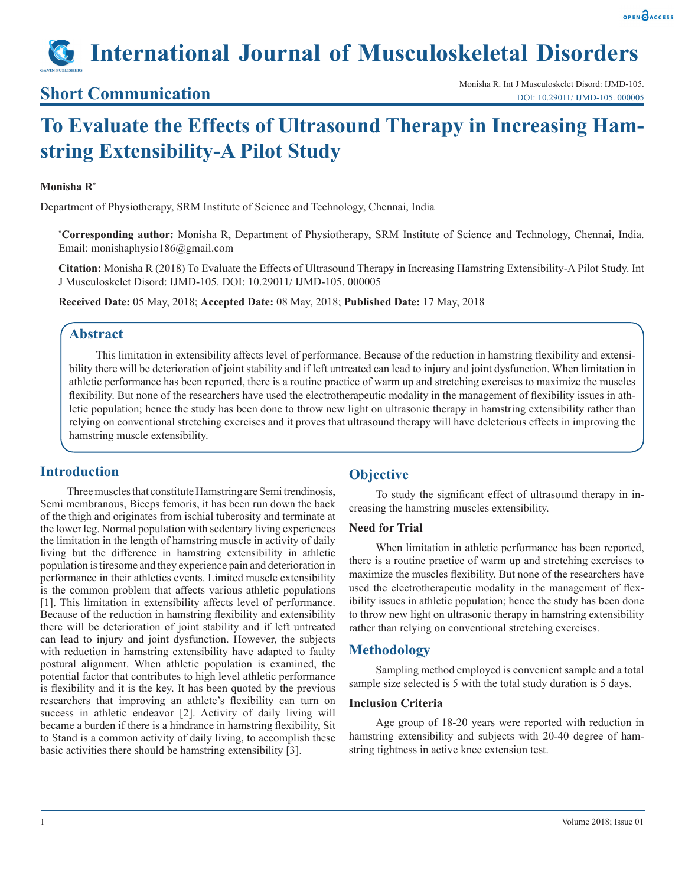# **International Journal of Musculoskeletal Disorders**

### **Short Communication**

## **To Evaluate the Effects of Ultrasound Therapy in Increasing Hamstring Extensibility-A Pilot Study**

#### **Monisha R\***

Department of Physiotherapy, SRM Institute of Science and Technology, Chennai, India

**\* Corresponding author:** Monisha R, Department of Physiotherapy, SRM Institute of Science and Technology, Chennai, India. Email: monishaphysio186@gmail.com

**Citation:** Monisha R (2018) To Evaluate the Effects of Ultrasound Therapy in Increasing Hamstring Extensibility-A Pilot Study. Int J Musculoskelet Disord: IJMD-105. DOI: 10.29011/ IJMD-105. 000005

**Received Date:** 05 May, 2018; **Accepted Date:** 08 May, 2018; **Published Date:** 17 May, 2018

#### **Abstract**

This limitation in extensibility affects level of performance. Because of the reduction in hamstring flexibility and extensibility there will be deterioration of joint stability and if left untreated can lead to injury and joint dysfunction. When limitation in athletic performance has been reported, there is a routine practice of warm up and stretching exercises to maximize the muscles flexibility. But none of the researchers have used the electrotherapeutic modality in the management of flexibility issues in athletic population; hence the study has been done to throw new light on ultrasonic therapy in hamstring extensibility rather than relying on conventional stretching exercises and it proves that ultrasound therapy will have deleterious effects in improving the hamstring muscle extensibility.

#### **Introduction**

Three muscles that constitute Hamstring are Semi trendinosis, Semi membranous, Biceps femoris, it has been run down the back of the thigh and originates from ischial tuberosity and terminate at the lower leg. Normal population with sedentary living experiences the limitation in the length of hamstring muscle in activity of daily living but the difference in hamstring extensibility in athletic population is tiresome and they experience pain and deterioration in performance in their athletics events. Limited muscle extensibility is the common problem that affects various athletic populations [1]. This limitation in extensibility affects level of performance. Because of the reduction in hamstring flexibility and extensibility there will be deterioration of joint stability and if left untreated can lead to injury and joint dysfunction. However, the subjects with reduction in hamstring extensibility have adapted to faulty postural alignment. When athletic population is examined, the potential factor that contributes to high level athletic performance is flexibility and it is the key. It has been quoted by the previous researchers that improving an athlete's flexibility can turn on success in athletic endeavor [2]. Activity of daily living will became a burden if there is a hindrance in hamstring flexibility, Sit to Stand is a common activity of daily living, to accomplish these basic activities there should be hamstring extensibility [3].

#### **Objective**

To study the significant effect of ultrasound therapy in increasing the hamstring muscles extensibility.

#### **Need for Trial**

When limitation in athletic performance has been reported, there is a routine practice of warm up and stretching exercises to maximize the muscles flexibility. But none of the researchers have used the electrotherapeutic modality in the management of flexibility issues in athletic population; hence the study has been done to throw new light on ultrasonic therapy in hamstring extensibility rather than relying on conventional stretching exercises.

#### **Methodology**

Sampling method employed is convenient sample and a total sample size selected is 5 with the total study duration is 5 days.

#### **Inclusion Criteria**

Age group of 18-20 years were reported with reduction in hamstring extensibility and subjects with 20-40 degree of hamstring tightness in active knee extension test.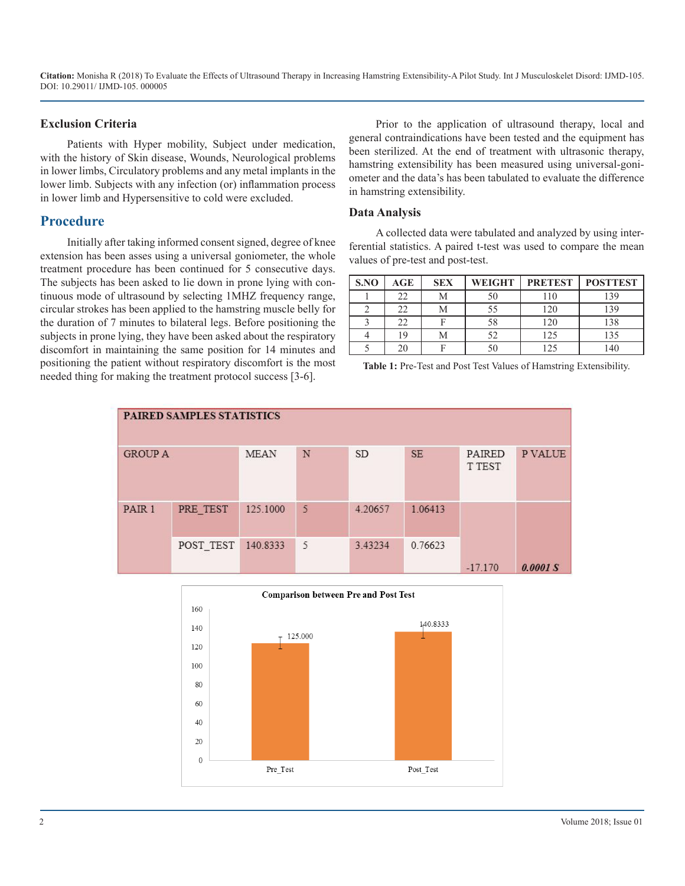**Citation:** Monisha R (2018) To Evaluate the Effects of Ultrasound Therapy in Increasing Hamstring Extensibility-A Pilot Study. Int J Musculoskelet Disord: IJMD-105. DOI: 10.29011/ IJMD-105. 000005

#### **Exclusion Criteria**

Patients with Hyper mobility, Subject under medication, with the history of Skin disease, Wounds, Neurological problems in lower limbs, Circulatory problems and any metal implants in the lower limb. Subjects with any infection (or) inflammation process in lower limb and Hypersensitive to cold were excluded.

#### **Procedure**

Initially after taking informed consent signed, degree of knee extension has been asses using a universal goniometer, the whole treatment procedure has been continued for 5 consecutive days. The subjects has been asked to lie down in prone lying with continuous mode of ultrasound by selecting 1MHZ frequency range, circular strokes has been applied to the hamstring muscle belly for the duration of 7 minutes to bilateral legs. Before positioning the subjects in prone lying, they have been asked about the respiratory discomfort in maintaining the same position for 14 minutes and positioning the patient without respiratory discomfort is the most needed thing for making the treatment protocol success [3-6].

Prior to the application of ultrasound therapy, local and general contraindications have been tested and the equipment has been sterilized. At the end of treatment with ultrasonic therapy, hamstring extensibility has been measured using universal-goniometer and the data's has been tabulated to evaluate the difference in hamstring extensibility.

#### **Data Analysis**

A collected data were tabulated and analyzed by using interferential statistics. A paired t-test was used to compare the mean values of pre-test and post-test.

| S.NO | $\mathbf{AGE}$ | <b>SEX</b> | <b>WEIGHT</b> | <b>PRETEST</b> | <b>POSTTEST</b> |
|------|----------------|------------|---------------|----------------|-----------------|
|      |                | М          |               |                | 139             |
|      |                |            |               | .20            | 139             |
|      | 22             |            | 58            | 120            | 138             |
|      | ۱9             | VI         |               | 25             | 135             |
|      |                |            |               |                |                 |

**Table 1:** Pre-Test and Post Test Values of Hamstring Extensibility.

| PAIRED SAMPLES STATISTICS |           |             |   |           |           |                  |         |  |  |  |  |
|---------------------------|-----------|-------------|---|-----------|-----------|------------------|---------|--|--|--|--|
| <b>GROUP A</b>            |           | <b>MEAN</b> | N | <b>SD</b> | <b>SE</b> | PAIRED<br>T TEST | P VALUE |  |  |  |  |
| PAIR 1                    | PRE TEST  | 125.1000    | 5 | 4.20657   | 1.06413   | $-17.170$        |         |  |  |  |  |
|                           | POST_TEST | 140.8333    | 5 | 3.43234   | 0.76623   |                  | 0.0001S |  |  |  |  |